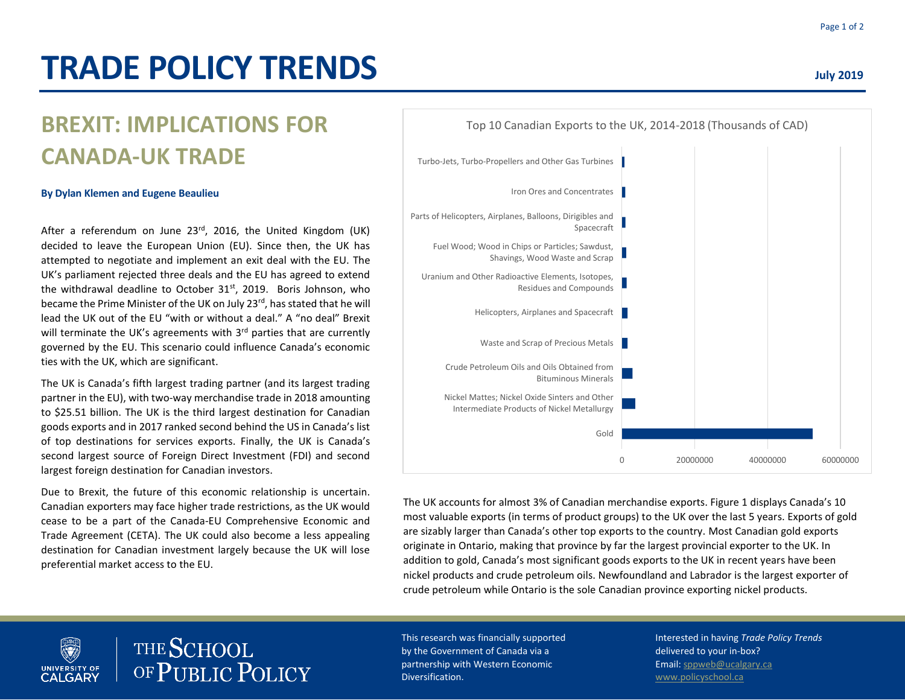# **TRADE POLICY TRENDS**

# **BREXIT: IMPLICATIONS FOR CANADA-UK TRADE**

#### **By Dylan Klemen and Eugene Beaulieu**

After a referendum on June 23<sup>rd</sup>, 2016, the United Kingdom (UK) decided to leave the European Union (EU). Since then, the UK has attempted to negotiate and implement an exit deal with the EU. The UK's parliament rejected three deals and the EU has agreed to extend the withdrawal deadline to October 31<sup>st</sup>, 2019. Boris Johnson, who became the Prime Minister of the UK on July 23<sup>rd</sup>, has stated that he will lead the UK out of the EU "with or without a deal." A "no deal" Brexit will terminate the UK's agreements with 3<sup>rd</sup> parties that are currently governed by the EU. This scenario could influence Canada's economic ties with the UK, which are significant.

The UK is Canada's fifth largest trading partner (and its largest trading partner in the EU), with two-way merchandise trade in 2018 amounting to \$25.51 billion. The UK is the third largest destination for Canadian goods exports and in 2017 ranked second behind the US in Canada's list of top destinations for services exports. Finally, the UK is Canada's second largest source of Foreign Direct Investment (FDI) and second largest foreign destination for Canadian investors.

Due to Brexit, the future of this economic relationship is uncertain. Canadian exporters may face higher trade restrictions, as the UK would cease to be a part of the Canada-EU Comprehensive Economic and Trade Agreement (CETA). The UK could also become a less appealing destination for Canadian investment largely because the UK will lose preferential market access to the EU.



The UK accounts for almost 3% of Canadian merchandise exports. Figure 1 displays Canada's 10 most valuable exports (in terms of product groups) to the UK over the last 5 years. Exports of gold are sizably larger than Canada's other top exports to the country. Most Canadian gold exports originate in Ontario, making that province by far the largest provincial exporter to the UK. In addition to gold, Canada's most significant goods exports to the UK in recent years have been nickel products and crude petroleum oils. Newfoundland and Labrador is the largest exporter of crude petroleum while Ontario is the sole Canadian province exporting nickel products.



THE SCHOOL OF PUBLIC POLICY This research was financially supported by the Government of Canada via a partnership with Western Economic Diversification.

Interested in having *Trade Policy Trends* delivered to your in-box? Email[: sppweb@ucalgary.ca](mailto:sppweb@ucalgary.ca) [www.policyschool.ca](http://www.policyschool.ca/)

Page 1 of 2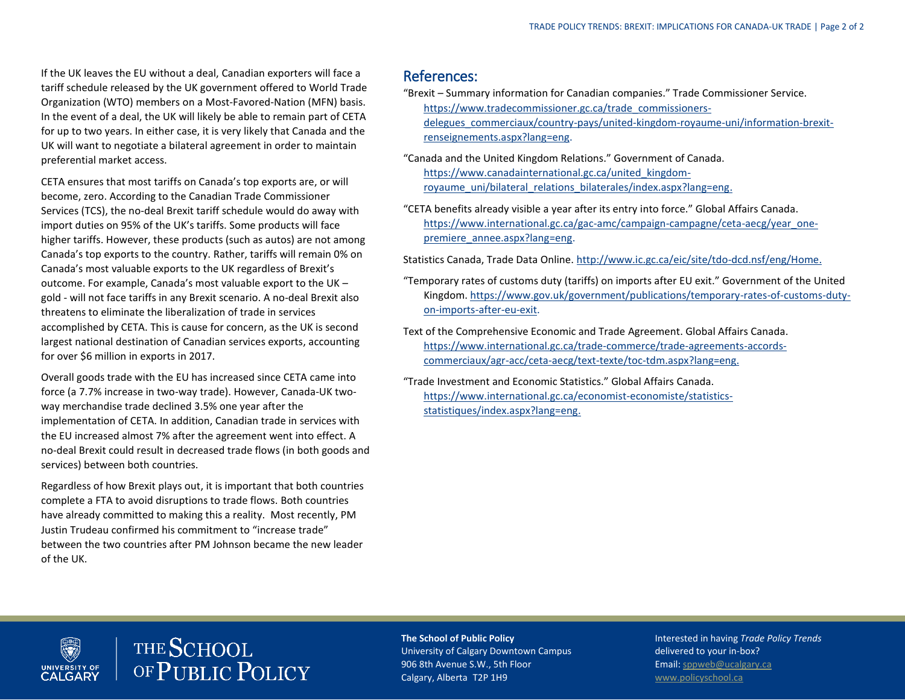If the UK leaves the EU without a deal, Canadian exporters will face a tariff schedule released by the UK government offered to World Trade Organization (WTO) members on a Most-Favored-Nation (MFN) basis. In the event of a deal, the UK will likely be able to remain part of CETA for up to two years. In either case, it is very likely that Canada and the UK will want to negotiate a bilateral agreement in order to maintain preferential market access.

CETA ensures that most tariffs on Canada's top exports are, or will become, zero. According to the Canadian Trade Commissioner Services (TCS), the no-deal Brexit tariff schedule would do away with import duties on 95% of the UK's tariffs. Some products will face higher tariffs. However, these products (such as autos) are not among Canada's top exports to the country. Rather, tariffs will remain 0% on Canada's most valuable exports to the UK regardless of Brexit's outcome. For example, Canada's most valuable export to the UK – gold - will not face tariffs in any Brexit scenario. A no-deal Brexit also threatens to eliminate the liberalization of trade in services accomplished by CETA. This is cause for concern, as the UK is second largest national destination of Canadian services exports, accounting for over \$6 million in exports in 2017.

Overall goods trade with the EU has increased since CETA came into force (a 7.7% increase in two-way trade). However, Canada-UK twoway merchandise trade declined 3.5% one year after the implementation of CETA. In addition, Canadian trade in services with the EU increased almost 7% after the agreement went into effect. A no-deal Brexit could result in decreased trade flows (in both goods and services) between both countries.

Regardless of how Brexit plays out, it is important that both countries complete a FTA to avoid disruptions to trade flows. Both countries have already committed to making this a reality. Most recently, PM Justin Trudeau confirmed his commitment to "increase trade" between the two countries after PM Johnson became the new leader of the UK.

#### References:

- "Brexit Summary information for Canadian companies." Trade Commissioner Service. [https://www.tradecommissioner.gc.ca/trade\\_commissioners](https://www.tradecommissioner.gc.ca/trade_commissioners-delegues_commerciaux/country-pays/united-kingdom-royaume-uni/information-brexit-renseignements.aspx?lang=eng)[delegues\\_commerciaux/country-pays/united-kingdom-royaume-uni/information-brexit](https://www.tradecommissioner.gc.ca/trade_commissioners-delegues_commerciaux/country-pays/united-kingdom-royaume-uni/information-brexit-renseignements.aspx?lang=eng)[renseignements.aspx?lang=eng.](https://www.tradecommissioner.gc.ca/trade_commissioners-delegues_commerciaux/country-pays/united-kingdom-royaume-uni/information-brexit-renseignements.aspx?lang=eng)
- "Canada and the United Kingdom Relations." Government of Canada. [https://www.canadainternational.gc.ca/united\\_kingdom](https://www.canadainternational.gc.ca/united_kingdom-royaume_uni/bilateral_relations_bilaterales/index.aspx?lang=eng)[royaume\\_uni/bilateral\\_relations\\_bilaterales/index.aspx?lang=eng.](https://www.canadainternational.gc.ca/united_kingdom-royaume_uni/bilateral_relations_bilaterales/index.aspx?lang=eng)
- "CETA benefits already visible a year after its entry into force." Global Affairs Canada. [https://www.international.gc.ca/gac-amc/campaign-campagne/ceta-aecg/year\\_one](https://www.international.gc.ca/gac-amc/campaign-campagne/ceta-aecg/year_one-premiere_annee.aspx?lang=eng)[premiere\\_annee.aspx?lang=eng.](https://www.international.gc.ca/gac-amc/campaign-campagne/ceta-aecg/year_one-premiere_annee.aspx?lang=eng)

Statistics Canada, Trade Data Online[. http://www.ic.gc.ca/eic/site/tdo-dcd.nsf/eng/Home.](http://www.ic.gc.ca/eic/site/tdo-dcd.nsf/eng/Home)

- "Temporary rates of customs duty (tariffs) on imports after EU exit." Government of the United Kingdom[. https://www.gov.uk/government/publications/temporary-rates-of-customs-duty](https://www.gov.uk/government/publications/temporary-rates-of-customs-duty-on-imports-after-eu-exit)[on-imports-after-eu-exit.](https://www.gov.uk/government/publications/temporary-rates-of-customs-duty-on-imports-after-eu-exit)
- Text of the Comprehensive Economic and Trade Agreement. Global Affairs Canada. [https://www.international.gc.ca/trade-commerce/trade-agreements-accords](https://www.international.gc.ca/trade-commerce/trade-agreements-accords-commerciaux/agr-acc/ceta-aecg/text-texte/toc-tdm.aspx?lang=eng)[commerciaux/agr-acc/ceta-aecg/text-texte/toc-tdm.aspx?lang=eng.](https://www.international.gc.ca/trade-commerce/trade-agreements-accords-commerciaux/agr-acc/ceta-aecg/text-texte/toc-tdm.aspx?lang=eng)
- "Trade Investment and Economic Statistics." Global Affairs Canada. [https://www.international.gc.ca/economist-economiste/statistics](https://www.international.gc.ca/economist-economiste/statistics-statistiques/index.aspx?lang=eng)[statistiques/index.aspx?lang=eng.](https://www.international.gc.ca/economist-economiste/statistics-statistiques/index.aspx?lang=eng)

#### **Dep** THE SCHOOL OF PUBLIC POLICY UNIVERSITY OF

#### **The School of Public Policy**

University of Calgary Downtown Campus 906 8th Avenue S.W., 5th Floor Calgary, Alberta T2P 1H9

Interested in having *Trade Policy Trends* delivered to your in-box? Email[: sppweb@ucalgary.ca](mailto:sppweb@ucalgary.ca) [www.policyschool.ca](http://www.policyschool.ca/)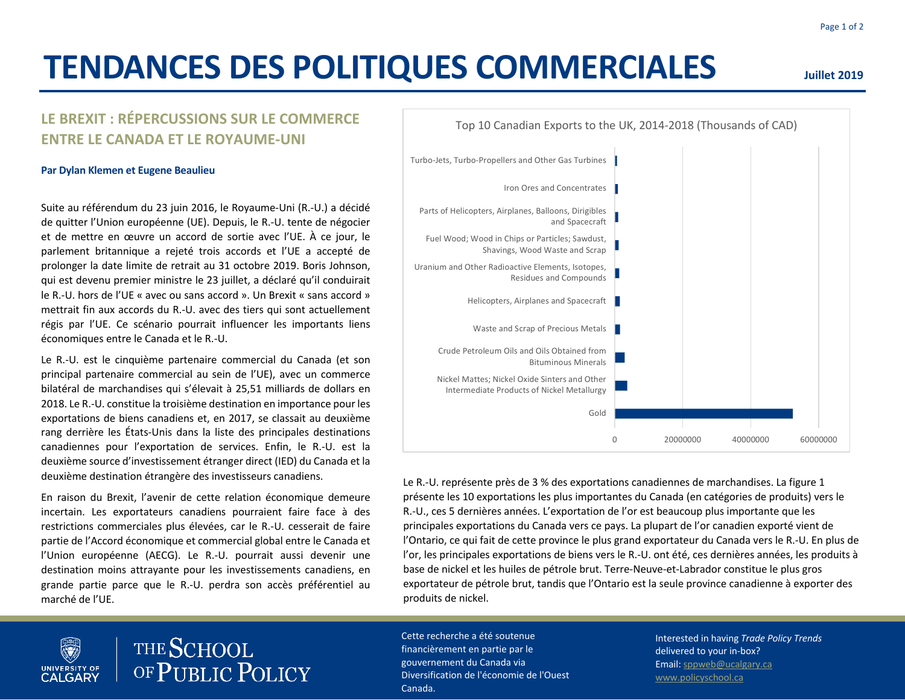# **TENDANCES DES POLITIQUES COMMERCIALES**

## **LE BREXIT : RÉPERCUSSIONS SUR LE COMMERCE ENTRE LE CANADA ET LE ROYAUME-UNI**

#### **Par Dylan Klemen et Eugene Beaulieu**

Suite au référendum du 23 juin 2016, le Royaume-Uni (R.-U.) a décidé de quitter l'Union européenne (UE). Depuis, le R.-U. tente de négocier et de mettre en œuvre un accord de sortie avec l'UE. À ce jour, le parlement britannique a rejeté trois accords et l'UE a accepté de prolonger la date limite de retrait au 31 octobre 2019. Boris Johnson, qui est devenu premier ministre le 23 juillet, a déclaré qu'il conduirait le R.-U. hors de l'UE « avec ou sans accord ». Un Brexit « sans accord » mettrait fin aux accords du R.-U. avec des tiers qui sont actuellement régis par l'UE. Ce scénario pourrait influencer les importants liens économiques entre le Canada et le R.-U.

Le R.-U. est le cinquième partenaire commercial du Canada (et son principal partenaire commercial au sein de l'UE), avec un commerce bilatéral de marchandises qui s'élevait à 25,51 milliards de dollars en 2018. Le R.-U. constitue la troisième destination en importance pour les exportations de biens canadiens et, en 2017, se classait au deuxième rang derrière les États-Unis dans la liste des principales destinations canadiennes pour l'exportation de services. Enfin, le R.-U. est la deuxième source d'investissement étranger direct (IED) du Canada et la deuxième destination étrangère des investisseurs canadiens.

En raison du Brexit, l'avenir de cette relation économique demeure incertain. Les exportateurs canadiens pourraient faire face à des restrictions commerciales plus élevées, car le R.-U. cesserait de faire partie de l'Accord économique et commercial global entre le Canada et l'Union européenne (AECG). Le R.-U. pourrait aussi devenir une destination moins attrayante pour les investissements canadiens, en grande partie parce que le R.-U. perdra son accès préférentiel au marché de l'UE.

THE SCHOOL

**UNIVERSITY OF**<br>**CALGARY** 

OF PUBLIC POLICY

Cette recherche a été soutenue financièrement en partie par le gouvernement du Canada via Diversification de l'économie de l'Ouest Canada.

Fuel Wood; Wood in Chips or Particles; Sawdust,

and Spacecraft

Iron Ores and Concentrates

Parts of Helicopters, Airplanes, Balloons, Dirigibles

Turbo-Jets, Turbo-Propellers and Other Gas Turbines

Interested in having *Trade Policy Trends* delivered to your in-box? Email: sppweb@ucalgary.ca www.policyschool.ca

### **Juillet 2019**

Le R.-U. représente près de 3 % des exportations canadiennes de marchandises. La figure 1 présente les 10 exportations les plus importantes du Canada (en catégories de produits) vers le R.-U., ces 5 dernières années. L'exportation de l'or est beaucoup plus importante que les principales exportations du Canada vers ce pays. La plupart de l'or canadien exporté vient de l'Ontario, ce qui fait de cette province le plus grand exportateur du Canada vers le R.-U. En plus de l'or, les principales exportations de biens vers le R.-U. ont été, ces dernières années, les produits à 0 20000000 40000000 60000000 Gold Nickel Mattes; Nickel Oxide Sinters and Other Intermediate Products of Nickel Metallurgy Crude Petroleum Oils and Oils Obtained from Bituminous Minerals Waste and Scrap of Precious Metals Helicopters, Airplanes and Spacecraft Uranium and Other Radioactive Elements, Isotopes, Residues and Compounds Shavings, Wood Waste and Scrap

Top 10 Canadian Exports to the UK, 2014-2018 (Thousands of CAD)

base de nickel et les huiles de pétrole brut. Terre-Neuve-et-Labrador constitue le plus gros exportateur de pétrole brut, tandis que l'Ontario est la seule province canadienne à exporter des produits de nickel.